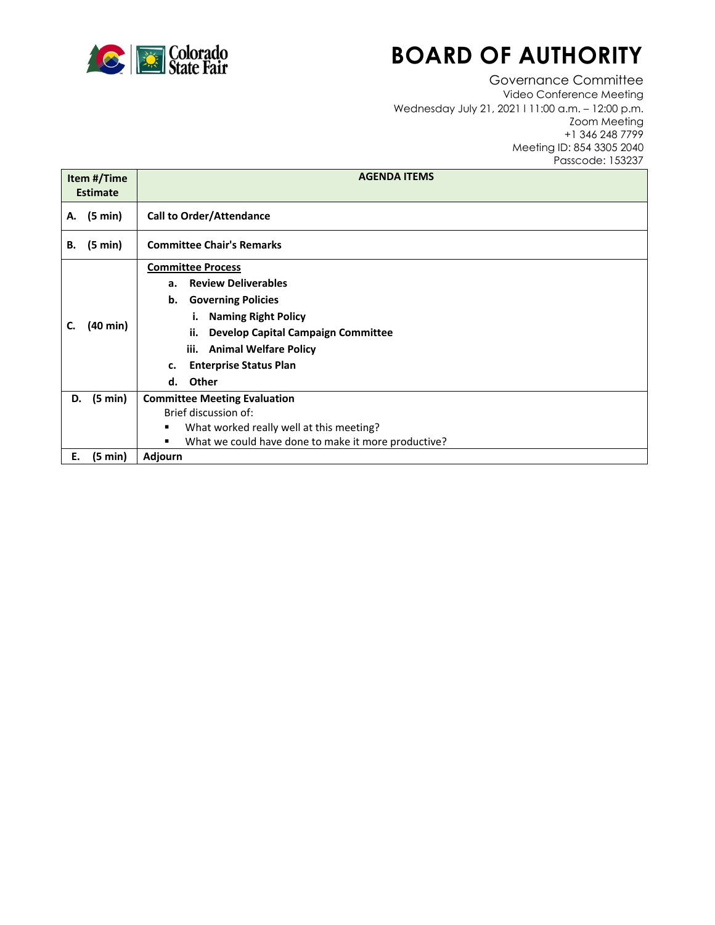

# **BOARD OF AUTHORITY**

Governance Committee Video Conference Meeting Wednesday July 21, 2021 l 11:00 a.m. – 12:00 p.m. Zoom Meeting +1 346 248 7799 Meeting ID: 854 3305 2040 Passcode: 153237

| Item #/Time<br><b>Estimate</b> |                   | <b>AGENDA ITEMS</b>                                      |
|--------------------------------|-------------------|----------------------------------------------------------|
| А.                             | $(5 \text{ min})$ | <b>Call to Order/Attendance</b>                          |
| В.                             | $(5 \text{ min})$ | <b>Committee Chair's Remarks</b>                         |
| C.                             | (40 min)          | <b>Committee Process</b>                                 |
|                                |                   | <b>Review Deliverables</b><br>а.                         |
|                                |                   | <b>Governing Policies</b><br>b.                          |
|                                |                   | <b>Naming Right Policy</b><br>Ĺ.                         |
|                                |                   | <b>Develop Capital Campaign Committee</b><br>ii.         |
|                                |                   | iii. Animal Welfare Policy                               |
|                                |                   | <b>Enterprise Status Plan</b><br>c.                      |
|                                |                   | Other<br>d.                                              |
| D.                             | (5 min)           | <b>Committee Meeting Evaluation</b>                      |
|                                |                   | Brief discussion of:                                     |
|                                |                   | What worked really well at this meeting?<br>٠            |
|                                |                   | What we could have done to make it more productive?<br>٠ |
| Е.                             | $(5 \text{ min})$ | Adjourn                                                  |